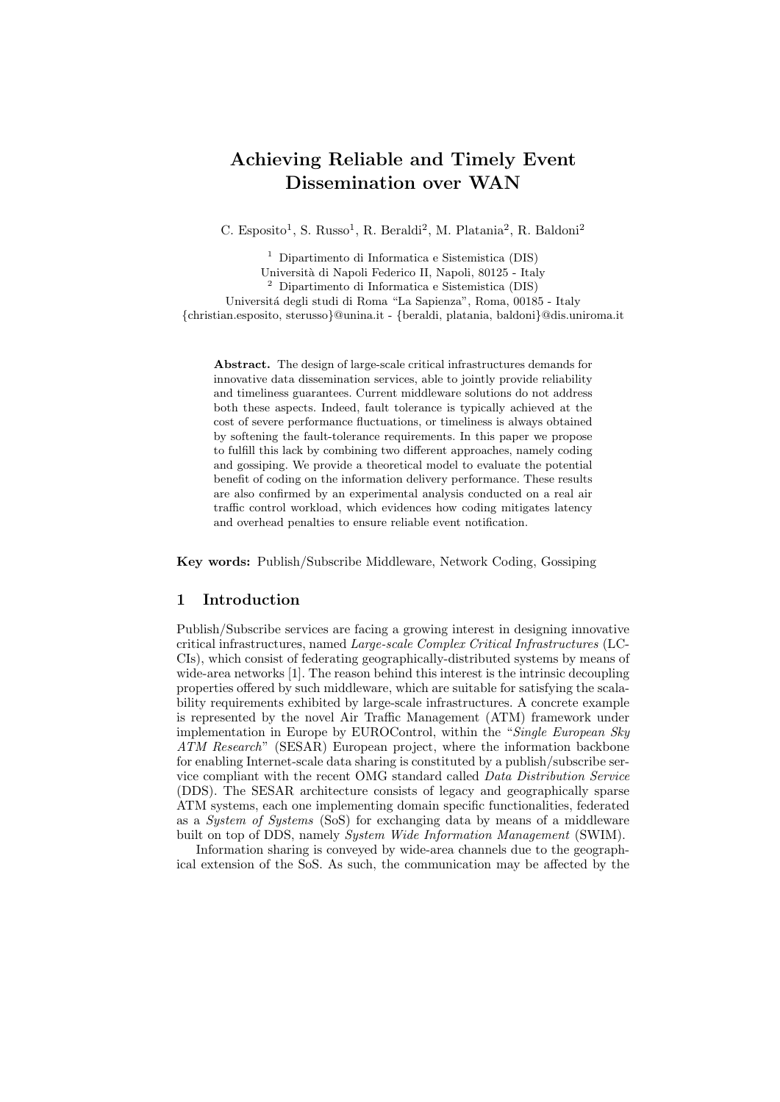# Achieving Reliable and Timely Event Dissemination over WAN

C. Esposito<sup>1</sup>, S. Russo<sup>1</sup>, R. Beraldi<sup>2</sup>, M. Platania<sup>2</sup>, R. Baldoni<sup>2</sup>

<sup>1</sup> Dipartimento di Informatica e Sistemistica (DIS) Universit`a di Napoli Federico II, Napoli, 80125 - Italy

<sup>2</sup> Dipartimento di Informatica e Sistemistica (DIS)

Universitá degli studi di Roma "La Sapienza", Roma, 00185 - Italy

{christian.esposito, sterusso}@unina.it - {beraldi, platania, baldoni}@dis.uniroma.it

Abstract. The design of large-scale critical infrastructures demands for innovative data dissemination services, able to jointly provide reliability and timeliness guarantees. Current middleware solutions do not address both these aspects. Indeed, fault tolerance is typically achieved at the cost of severe performance fluctuations, or timeliness is always obtained by softening the fault-tolerance requirements. In this paper we propose to fulfill this lack by combining two different approaches, namely coding and gossiping. We provide a theoretical model to evaluate the potential benefit of coding on the information delivery performance. These results are also confirmed by an experimental analysis conducted on a real air traffic control workload, which evidences how coding mitigates latency and overhead penalties to ensure reliable event notification.

Key words: Publish/Subscribe Middleware, Network Coding, Gossiping

# 1 Introduction

Publish/Subscribe services are facing a growing interest in designing innovative critical infrastructures, named Large-scale Complex Critical Infrastructures (LC-CIs), which consist of federating geographically-distributed systems by means of wide-area networks [1]. The reason behind this interest is the intrinsic decoupling properties offered by such middleware, which are suitable for satisfying the scalability requirements exhibited by large-scale infrastructures. A concrete example is represented by the novel Air Traffic Management (ATM) framework under implementation in Europe by EUROControl, within the "Single European Sky ATM Research" (SESAR) European project, where the information backbone for enabling Internet-scale data sharing is constituted by a publish/subscribe service compliant with the recent OMG standard called Data Distribution Service (DDS). The SESAR architecture consists of legacy and geographically sparse ATM systems, each one implementing domain specific functionalities, federated as a System of Systems (SoS) for exchanging data by means of a middleware built on top of DDS, namely *System Wide Information Management* (SWIM).

Information sharing is conveyed by wide-area channels due to the geographical extension of the SoS. As such, the communication may be affected by the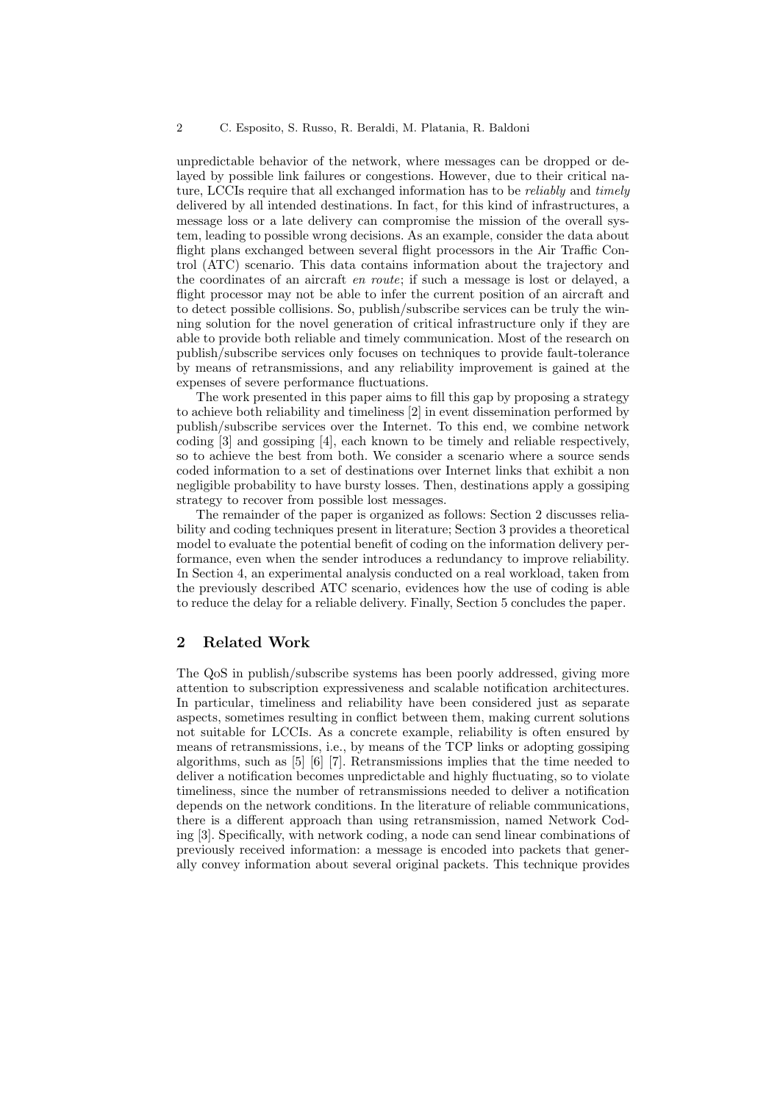unpredictable behavior of the network, where messages can be dropped or delayed by possible link failures or congestions. However, due to their critical nature, LCCIs require that all exchanged information has to be *reliably* and *timely* delivered by all intended destinations. In fact, for this kind of infrastructures, a message loss or a late delivery can compromise the mission of the overall system, leading to possible wrong decisions. As an example, consider the data about flight plans exchanged between several flight processors in the Air Traffic Control (ATC) scenario. This data contains information about the trajectory and the coordinates of an aircraft en route; if such a message is lost or delayed, a flight processor may not be able to infer the current position of an aircraft and to detect possible collisions. So, publish/subscribe services can be truly the winning solution for the novel generation of critical infrastructure only if they are able to provide both reliable and timely communication. Most of the research on publish/subscribe services only focuses on techniques to provide fault-tolerance by means of retransmissions, and any reliability improvement is gained at the expenses of severe performance fluctuations.

The work presented in this paper aims to fill this gap by proposing a strategy to achieve both reliability and timeliness [2] in event dissemination performed by publish/subscribe services over the Internet. To this end, we combine network coding [3] and gossiping [4], each known to be timely and reliable respectively, so to achieve the best from both. We consider a scenario where a source sends coded information to a set of destinations over Internet links that exhibit a non negligible probability to have bursty losses. Then, destinations apply a gossiping strategy to recover from possible lost messages.

The remainder of the paper is organized as follows: Section 2 discusses reliability and coding techniques present in literature; Section 3 provides a theoretical model to evaluate the potential benefit of coding on the information delivery performance, even when the sender introduces a redundancy to improve reliability. In Section 4, an experimental analysis conducted on a real workload, taken from the previously described ATC scenario, evidences how the use of coding is able to reduce the delay for a reliable delivery. Finally, Section 5 concludes the paper.

# 2 Related Work

The QoS in publish/subscribe systems has been poorly addressed, giving more attention to subscription expressiveness and scalable notification architectures. In particular, timeliness and reliability have been considered just as separate aspects, sometimes resulting in conflict between them, making current solutions not suitable for LCCIs. As a concrete example, reliability is often ensured by means of retransmissions, i.e., by means of the TCP links or adopting gossiping algorithms, such as [5] [6] [7]. Retransmissions implies that the time needed to deliver a notification becomes unpredictable and highly fluctuating, so to violate timeliness, since the number of retransmissions needed to deliver a notification depends on the network conditions. In the literature of reliable communications, there is a different approach than using retransmission, named Network Coding [3]. Specifically, with network coding, a node can send linear combinations of previously received information: a message is encoded into packets that generally convey information about several original packets. This technique provides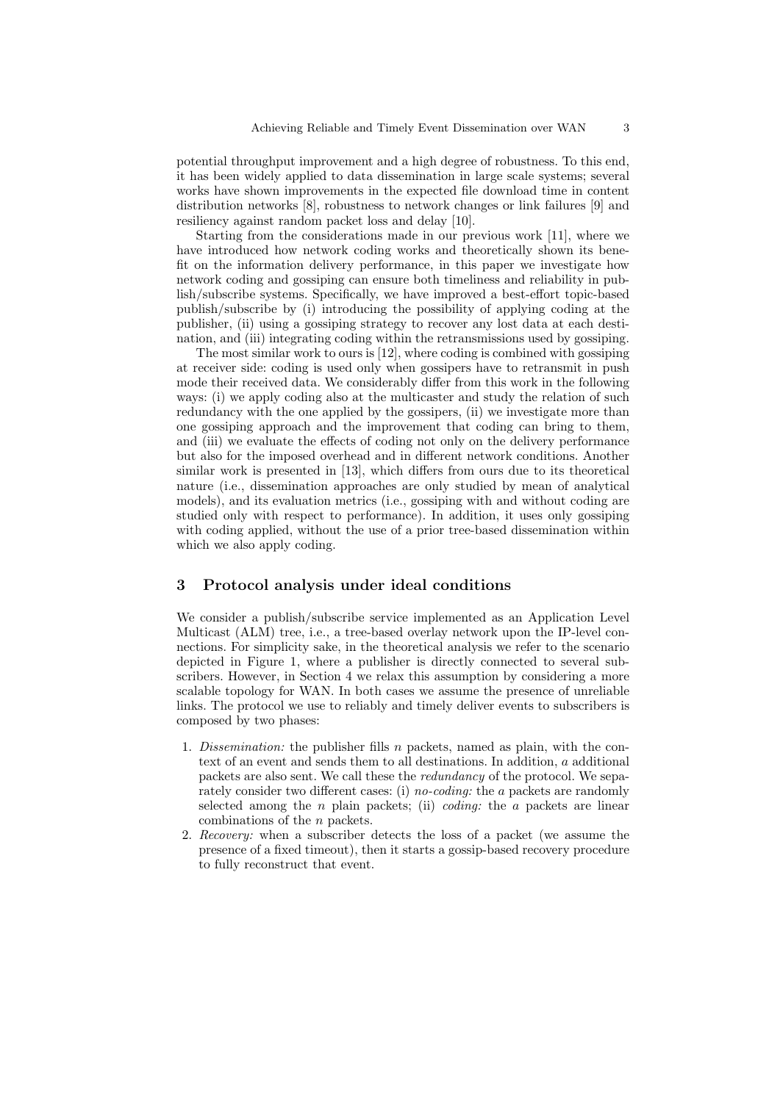potential throughput improvement and a high degree of robustness. To this end, it has been widely applied to data dissemination in large scale systems; several works have shown improvements in the expected file download time in content distribution networks [8], robustness to network changes or link failures [9] and resiliency against random packet loss and delay [10].

Starting from the considerations made in our previous work [11], where we have introduced how network coding works and theoretically shown its benefit on the information delivery performance, in this paper we investigate how network coding and gossiping can ensure both timeliness and reliability in publish/subscribe systems. Specifically, we have improved a best-effort topic-based publish/subscribe by (i) introducing the possibility of applying coding at the publisher, (ii) using a gossiping strategy to recover any lost data at each destination, and (iii) integrating coding within the retransmissions used by gossiping.

The most similar work to ours is [12], where coding is combined with gossiping at receiver side: coding is used only when gossipers have to retransmit in push mode their received data. We considerably differ from this work in the following ways: (i) we apply coding also at the multicaster and study the relation of such redundancy with the one applied by the gossipers, (ii) we investigate more than one gossiping approach and the improvement that coding can bring to them, and (iii) we evaluate the effects of coding not only on the delivery performance but also for the imposed overhead and in different network conditions. Another similar work is presented in [13], which differs from ours due to its theoretical nature (i.e., dissemination approaches are only studied by mean of analytical models), and its evaluation metrics (i.e., gossiping with and without coding are studied only with respect to performance). In addition, it uses only gossiping with coding applied, without the use of a prior tree-based dissemination within which we also apply coding.

### 3 Protocol analysis under ideal conditions

We consider a publish/subscribe service implemented as an Application Level Multicast (ALM) tree, i.e., a tree-based overlay network upon the IP-level connections. For simplicity sake, in the theoretical analysis we refer to the scenario depicted in Figure 1, where a publisher is directly connected to several subscribers. However, in Section 4 we relax this assumption by considering a more scalable topology for WAN. In both cases we assume the presence of unreliable links. The protocol we use to reliably and timely deliver events to subscribers is composed by two phases:

- 1. Dissemination: the publisher fills n packets, named as plain, with the context of an event and sends them to all destinations. In addition, a additional packets are also sent. We call these the redundancy of the protocol. We separately consider two different cases: (i) no-coding: the a packets are randomly selected among the  $n$  plain packets; (ii) *coding:* the  $a$  packets are linear combinations of the n packets.
- 2. Recovery: when a subscriber detects the loss of a packet (we assume the presence of a fixed timeout), then it starts a gossip-based recovery procedure to fully reconstruct that event.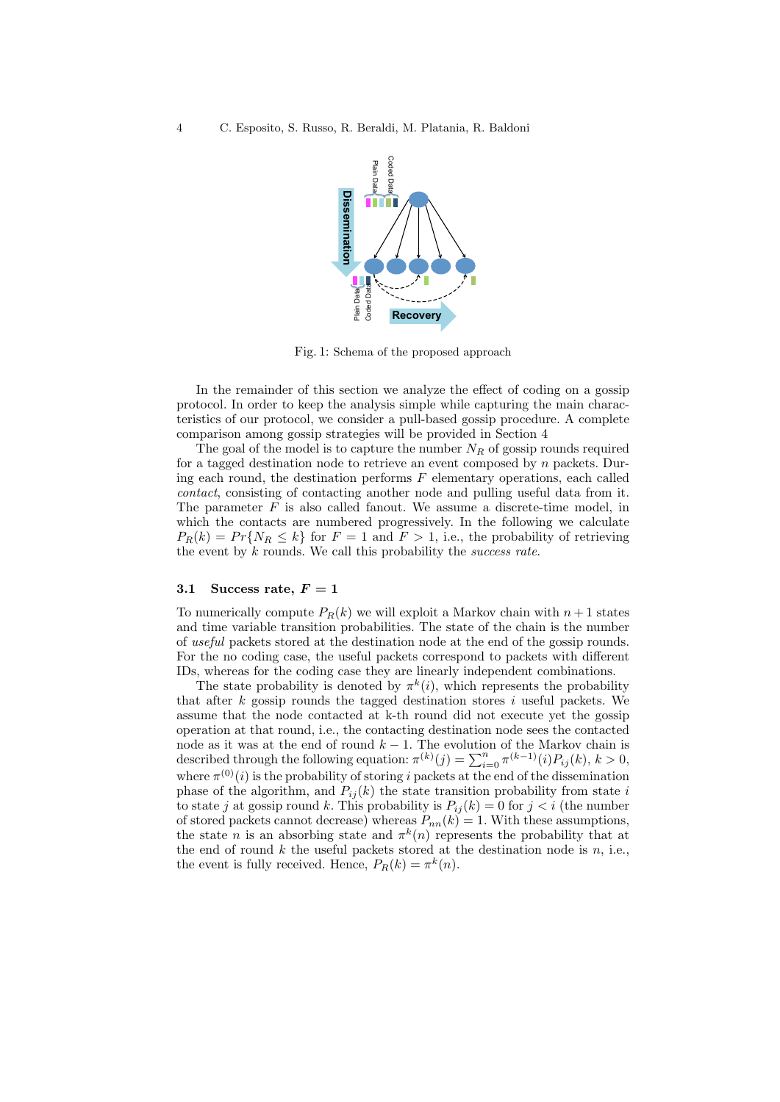

Fig. 1: Schema of the proposed approach

In the remainder of this section we analyze the effect of coding on a gossip protocol. In order to keep the analysis simple while capturing the main characteristics of our protocol, we consider a pull-based gossip procedure. A complete comparison among gossip strategies will be provided in Section 4

The goal of the model is to capture the number  $N_R$  of gossip rounds required for a tagged destination node to retrieve an event composed by  $n$  packets. During each round, the destination performs  $F$  elementary operations, each called contact, consisting of contacting another node and pulling useful data from it. The parameter  $F$  is also called fanout. We assume a discrete-time model, in which the contacts are numbered progressively. In the following we calculate  $P_R(k) = Pr\{N_R \leq k\}$  for  $F = 1$  and  $F > 1$ , i.e., the probability of retrieving the event by  $k$  rounds. We call this probability the *success rate*.

### 3.1 Success rate,  $F = 1$

To numerically compute  $P_R(k)$  we will exploit a Markov chain with  $n+1$  states and time variable transition probabilities. The state of the chain is the number of useful packets stored at the destination node at the end of the gossip rounds. For the no coding case, the useful packets correspond to packets with different IDs, whereas for the coding case they are linearly independent combinations.

The state probability is denoted by  $\pi^k(i)$ , which represents the probability that after k gossip rounds the tagged destination stores i useful packets. We assume that the node contacted at k-th round did not execute yet the gossip operation at that round, i.e., the contacting destination node sees the contacted node as it was at the end of round  $k - 1$ . The evolution of the Markov chain is described through the following equation:  $\pi^{(k)}(j) = \sum_{i=0}^{n} \pi^{(k-1)}(i) P_{ij}(k), k > 0$ , where  $\pi^{(0)}(i)$  is the probability of storing i packets at the end of the dissemination phase of the algorithm, and  $P_{ij}(k)$  the state transition probability from state i to state j at gossip round k. This probability is  $P_{ij}(k) = 0$  for  $j < i$  (the number of stored packets cannot decrease) whereas  $P_{nn}(k) = 1$ . With these assumptions, the state n is an absorbing state and  $\pi^k(n)$  represents the probability that at the end of round  $k$  the useful packets stored at the destination node is  $n$ , i.e., the event is fully received. Hence,  $P_R(k) = \pi^k(n)$ .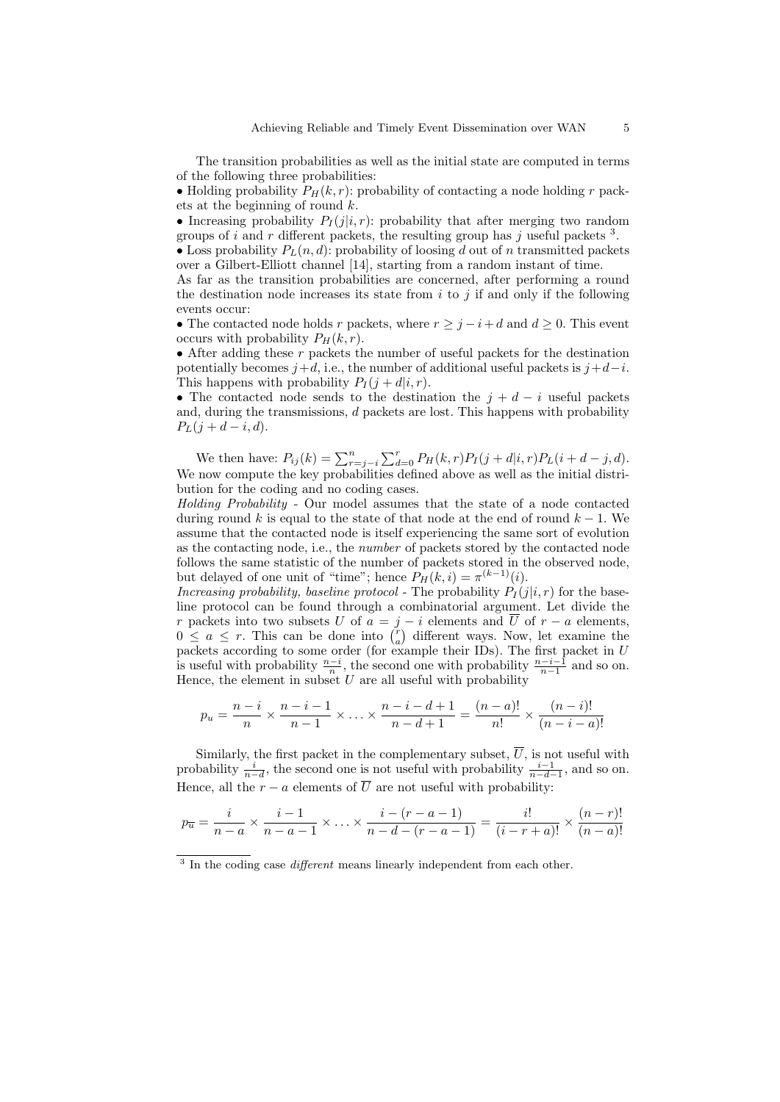The transition probabilities as well as the initial state are computed in terms of the following three probabilities:

• Holding probability  $P_H(k, r)$ : probability of contacting a node holding r packets at the beginning of round  $k$ .

• Increasing probability  $P_I(j|i, r)$ : probability that after merging two random groups of i and r different packets, the resulting group has j useful packets  $3$ .

• Loss probability  $P_L(n, d)$ : probability of loosing d out of n transmitted packets over a Gilbert-Elliott channel [14], starting from a random instant of time.

As far as the transition probabilities are concerned, after performing a round the destination node increases its state from  $i$  to  $j$  if and only if the following events occur:

• The contacted node holds r packets, where  $r \geq j - i + d$  and  $d \geq 0$ . This event occurs with probability  $P_H(k, r)$ .

• After adding these  $r$  packets the number of useful packets for the destination potentially becomes  $j+d$ , i.e., the number of additional useful packets is  $j+d-i$ . This happens with probability  $P_I(j + d|i, r)$ .

• The contacted node sends to the destination the  $j + d - i$  useful packets and, during the transmissions, d packets are lost. This happens with probability  $P_L(j + d - i, d)$ .

We then have:  $P_{ij}(k) = \sum_{r=j-i}^{n} \sum_{d=0}^{r} P_H(k,r) P_I(j+d|i,r) P_L(i+d-j,d)$ . We now compute the key probabilities defined above as well as the initial distribution for the coding and no coding cases.

Holding Probability - Our model assumes that the state of a node contacted during round k is equal to the state of that node at the end of round  $k - 1$ . We assume that the contacted node is itself experiencing the same sort of evolution as the contacting node, i.e., the number of packets stored by the contacted node follows the same statistic of the number of packets stored in the observed node, but delayed of one unit of "time"; hence  $P_H(k, i) = \pi^{(k-1)}(i)$ .

Increasing probability, baseline protocol - The probability  $P_I(i|i, r)$  for the baseline protocol can be found through a combinatorial argument. Let divide the r packets into two subsets U of  $a = j - i$  elements and  $\overline{U}$  of  $r - a$  elements,  $0 \le a \le r$ . This can be done into  $\binom{r}{a}$  different ways. Now, let examine the packets according to some order (for example their IDs). The first packet in  $U$ is useful with probability  $\frac{n-i}{n}$ , the second one with probability  $\frac{n-i-1}{n-1}$  and so on. Hence, the element in subset  $U$  are all useful with probability

$$
p_u = \frac{n-i}{n} \times \frac{n-i-1}{n-1} \times \ldots \times \frac{n-i-d+1}{n-d+1} = \frac{(n-a)!}{n!} \times \frac{(n-i)!}{(n-i-a)!}
$$

Similarly, the first packet in the complementary subset,  $\overline{U}$ , is not useful with probability  $\frac{i}{n-d}$ , the second one is not useful with probability  $\frac{i-1}{n-d-1}$ , and so on. Hence, all the  $r - a$  elements of  $\overline{U}$  are not useful with probability:

$$
p_{\overline{u}} = \frac{i}{n-a} \times \frac{i-1}{n-a-1} \times \ldots \times \frac{i-(r-a-1)}{n-d-(r-a-1)} = \frac{i!}{(i-r+a)!} \times \frac{(n-r)!}{(n-a)!}
$$

 $3$  In the coding case *different* means linearly independent from each other.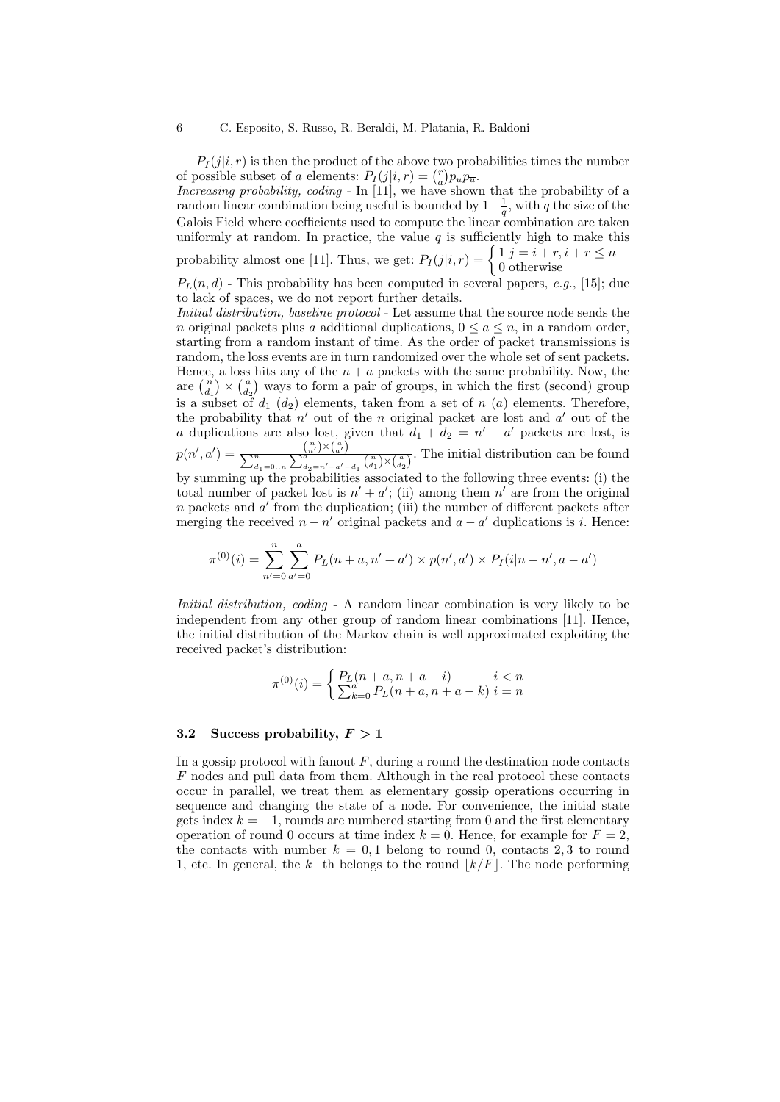$P_I(j|i, r)$  is then the product of the above two probabilities times the number of possible subset of a elements:  $P_I(j|i, r) = {r \choose a} p_u p_{\overline{u}}.$ 

Increasing probability, coding - In [11], we have shown that the probability of a random linear combination being useful is bounded by  $1-\frac{1}{q}$ , with q the size of the Galois Field where coefficients used to compute the linear combination are taken uniformly at random. In practice, the value  $q$  is sufficiently high to make this probability almost one [11]. Thus, we get:  $P_I(j|i, r) = \begin{cases} 1 \ j = i + r, i + r \leq n \\ 0 \ \text{otherwise} \end{cases}$ 0 otherwise

 $P_L(n, d)$  - This probability has been computed in several papers, e.g., [15]; due to lack of spaces, we do not report further details.

Initial distribution, baseline protocol - Let assume that the source node sends the n original packets plus a additional duplications,  $0 \le a \le n$ , in a random order, starting from a random instant of time. As the order of packet transmissions is random, the loss events are in turn randomized over the whole set of sent packets. Hence, a loss hits any of the  $n + a$  packets with the same probability. Now, the are  $\binom{n}{d_1} \times \binom{a}{d_2}$  ways to form a pair of groups, in which the first (second) group is a subset of  $d_1$  ( $d_2$ ) elements, taken from a set of n (a) elements. Therefore, the probability that  $n'$  out of the n original packet are lost and  $a'$  out of the a duplications are also lost, given that  $d_1 + d_2 = n' + a'$  packets are lost, is  $p(n', a') = \frac{\binom{n}{n'} \times \binom{a}{a'}}{\sum_{d_1=0...n}^n \sum_{d_2=n'+a'-d_1}^a \binom{n}{d_1} \times \binom{a}{d_2}}$ . The initial distribution can be found

by summing up the probabilities associated to the following three events: (i) the total number of packet lost is  $n' + a'$ ; (ii) among them n' are from the original  $n$  packets and  $a'$  from the duplication; (iii) the number of different packets after merging the received  $n - n'$  original packets and  $a - a'$  duplications is i. Hence:

$$
\pi^{(0)}(i) = \sum_{n'=0}^{n} \sum_{a'=0}^{a} P_L(n+a, n'+a') \times p(n', a') \times P_I(i|n-n', a-a')
$$

Initial distribution, coding - A random linear combination is very likely to be independent from any other group of random linear combinations [11]. Hence, the initial distribution of the Markov chain is well approximated exploiting the received packet's distribution:

$$
\pi^{(0)}(i) = \begin{cases} P_L(n+a, n+a-i) & i < n \\ \sum_{k=0}^a P_L(n+a, n+a-k) & i = n \end{cases}
$$

#### 3.2 Success probability,  $F > 1$

In a gossip protocol with fanout  $F$ , during a round the destination node contacts F nodes and pull data from them. Although in the real protocol these contacts occur in parallel, we treat them as elementary gossip operations occurring in sequence and changing the state of a node. For convenience, the initial state gets index  $k = -1$ , rounds are numbered starting from 0 and the first elementary operation of round 0 occurs at time index  $k = 0$ . Hence, for example for  $F = 2$ , the contacts with number  $k = 0, 1$  belong to round 0, contacts 2,3 to round 1, etc. In general, the k−th belongs to the round  $\lfloor k/F \rfloor$ . The node performing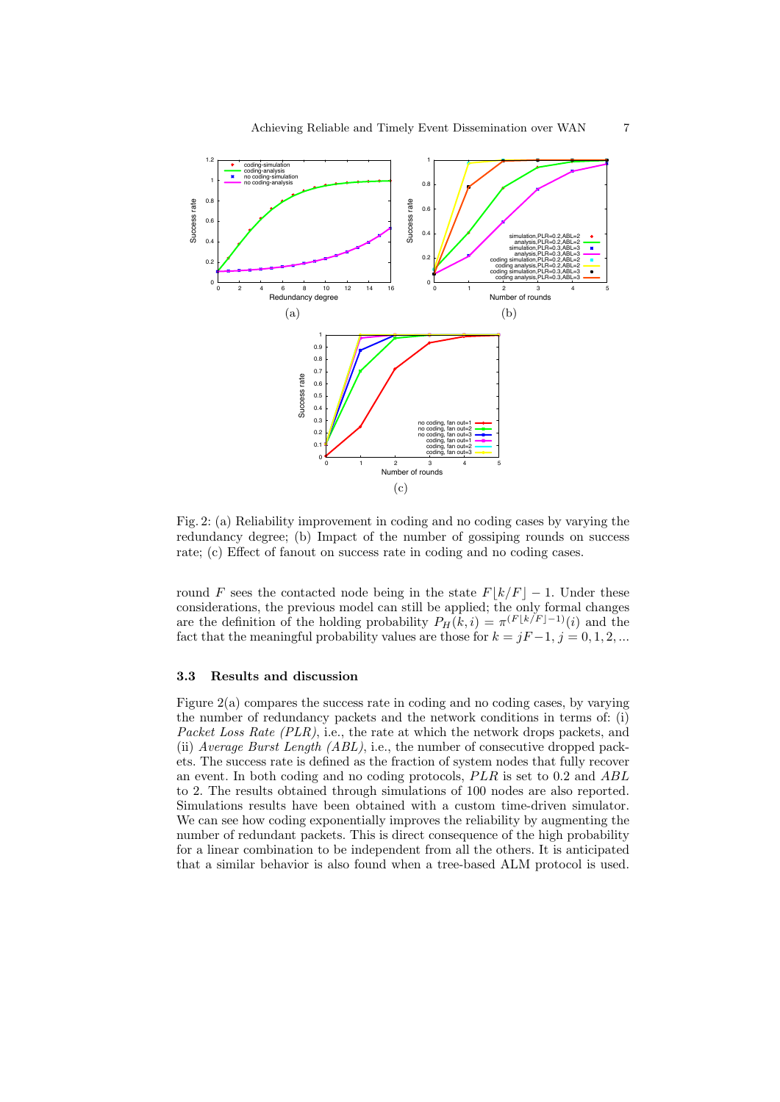

Fig. 2: (a) Reliability improvement in coding and no coding cases by varying the redundancy degree; (b) Impact of the number of gossiping rounds on success rate; (c) Effect of fanout on success rate in coding and no coding cases.

round F sees the contacted node being in the state  $F\lfloor k/F \rfloor - 1$ . Under these considerations, the previous model can still be applied; the only formal changes are the definition of the holding probability  $P_H(k, i) = \pi^{(F\lfloor k/F \rfloor - 1)}(i)$  and the fact that the meaningful probability values are those for  $k = jF - 1$ ,  $j = 0, 1, 2, ...$ 

### 3.3 Results and discussion

Figure 2(a) compares the success rate in coding and no coding cases, by varying the number of redundancy packets and the network conditions in terms of: (i) Packet Loss Rate (PLR), i.e., the rate at which the network drops packets, and (ii) Average Burst Length (ABL), i.e., the number of consecutive dropped packets. The success rate is defined as the fraction of system nodes that fully recover an event. In both coding and no coding protocols,  $PLR$  is set to 0.2 and  $ABL$ to 2. The results obtained through simulations of 100 nodes are also reported. Simulations results have been obtained with a custom time-driven simulator. We can see how coding exponentially improves the reliability by augmenting the number of redundant packets. This is direct consequence of the high probability for a linear combination to be independent from all the others. It is anticipated that a similar behavior is also found when a tree-based ALM protocol is used.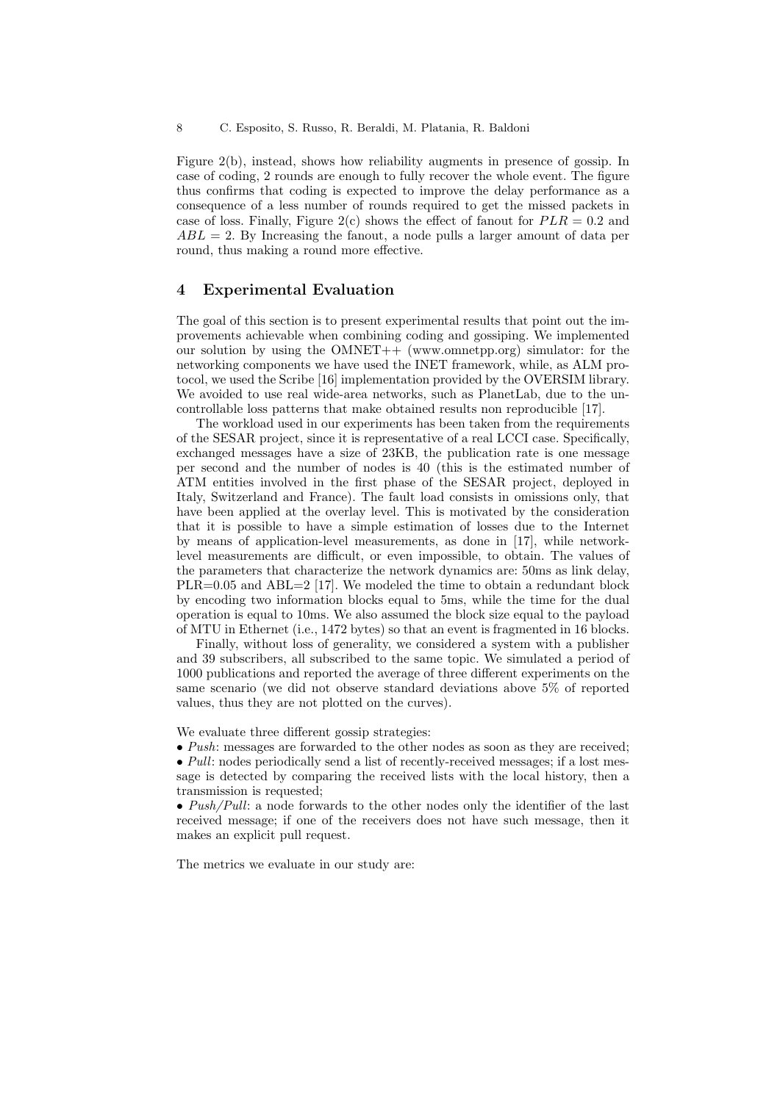Figure 2(b), instead, shows how reliability augments in presence of gossip. In case of coding, 2 rounds are enough to fully recover the whole event. The figure thus confirms that coding is expected to improve the delay performance as a consequence of a less number of rounds required to get the missed packets in case of loss. Finally, Figure 2(c) shows the effect of fanout for  $PLR = 0.2$  and  $ABL = 2$ . By Increasing the fanout, a node pulls a larger amount of data per round, thus making a round more effective.

### 4 Experimental Evaluation

The goal of this section is to present experimental results that point out the improvements achievable when combining coding and gossiping. We implemented our solution by using the OMNET++ (www.omnetpp.org) simulator: for the networking components we have used the INET framework, while, as ALM protocol, we used the Scribe [16] implementation provided by the OVERSIM library. We avoided to use real wide-area networks, such as PlanetLab, due to the uncontrollable loss patterns that make obtained results non reproducible [17].

The workload used in our experiments has been taken from the requirements of the SESAR project, since it is representative of a real LCCI case. Specifically, exchanged messages have a size of 23KB, the publication rate is one message per second and the number of nodes is 40 (this is the estimated number of ATM entities involved in the first phase of the SESAR project, deployed in Italy, Switzerland and France). The fault load consists in omissions only, that have been applied at the overlay level. This is motivated by the consideration that it is possible to have a simple estimation of losses due to the Internet by means of application-level measurements, as done in [17], while networklevel measurements are difficult, or even impossible, to obtain. The values of the parameters that characterize the network dynamics are: 50ms as link delay, PLR=0.05 and ABL=2 [17]. We modeled the time to obtain a redundant block by encoding two information blocks equal to 5ms, while the time for the dual operation is equal to 10ms. We also assumed the block size equal to the payload of MTU in Ethernet (i.e., 1472 bytes) so that an event is fragmented in 16 blocks.

Finally, without loss of generality, we considered a system with a publisher and 39 subscribers, all subscribed to the same topic. We simulated a period of 1000 publications and reported the average of three different experiments on the same scenario (we did not observe standard deviations above 5% of reported values, thus they are not plotted on the curves).

We evaluate three different gossip strategies:

• *Push*: messages are forwarded to the other nodes as soon as they are received; • Pull: nodes periodically send a list of recently-received messages; if a lost message is detected by comparing the received lists with the local history, then a transmission is requested;

•  $Push/Full: a node forwards to the other nodes only the identifier of the last$ received message; if one of the receivers does not have such message, then it makes an explicit pull request.

The metrics we evaluate in our study are: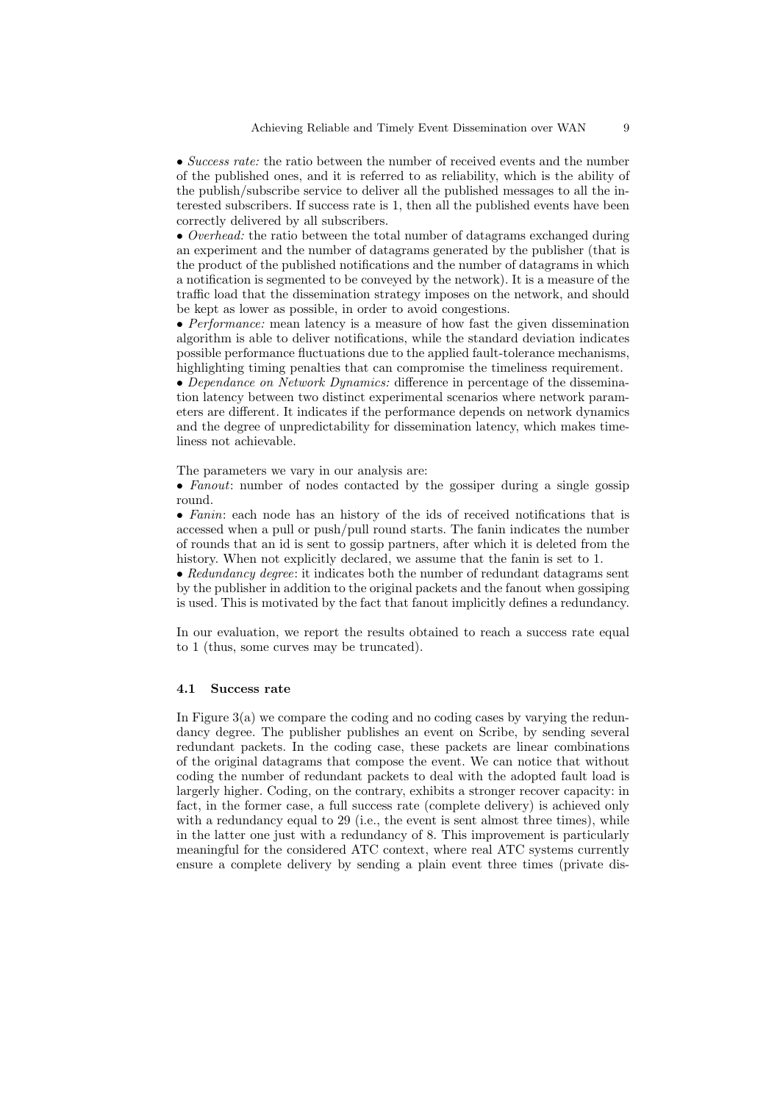• Success rate: the ratio between the number of received events and the number of the published ones, and it is referred to as reliability, which is the ability of the publish/subscribe service to deliver all the published messages to all the interested subscribers. If success rate is 1, then all the published events have been correctly delivered by all subscribers.

• Overhead: the ratio between the total number of datagrams exchanged during an experiment and the number of datagrams generated by the publisher (that is the product of the published notifications and the number of datagrams in which a notification is segmented to be conveyed by the network). It is a measure of the traffic load that the dissemination strategy imposes on the network, and should be kept as lower as possible, in order to avoid congestions.

• Performance: mean latency is a measure of how fast the given dissemination algorithm is able to deliver notifications, while the standard deviation indicates possible performance fluctuations due to the applied fault-tolerance mechanisms, highlighting timing penalties that can compromise the timeliness requirement.

• Dependance on Network Dynamics: difference in percentage of the dissemination latency between two distinct experimental scenarios where network parameters are different. It indicates if the performance depends on network dynamics and the degree of unpredictability for dissemination latency, which makes timeliness not achievable.

The parameters we vary in our analysis are:

• Fanout: number of nodes contacted by the gossiper during a single gossip round.

• Fanin: each node has an history of the ids of received notifications that is accessed when a pull or push/pull round starts. The fanin indicates the number of rounds that an id is sent to gossip partners, after which it is deleted from the history. When not explicitly declared, we assume that the fanin is set to 1.

• Redundancy degree: it indicates both the number of redundant datagrams sent by the publisher in addition to the original packets and the fanout when gossiping is used. This is motivated by the fact that fanout implicitly defines a redundancy.

In our evaluation, we report the results obtained to reach a success rate equal to 1 (thus, some curves may be truncated).

#### 4.1 Success rate

In Figure 3(a) we compare the coding and no coding cases by varying the redundancy degree. The publisher publishes an event on Scribe, by sending several redundant packets. In the coding case, these packets are linear combinations of the original datagrams that compose the event. We can notice that without coding the number of redundant packets to deal with the adopted fault load is largerly higher. Coding, on the contrary, exhibits a stronger recover capacity: in fact, in the former case, a full success rate (complete delivery) is achieved only with a redundancy equal to 29 (i.e., the event is sent almost three times), while in the latter one just with a redundancy of 8. This improvement is particularly meaningful for the considered ATC context, where real ATC systems currently ensure a complete delivery by sending a plain event three times (private dis-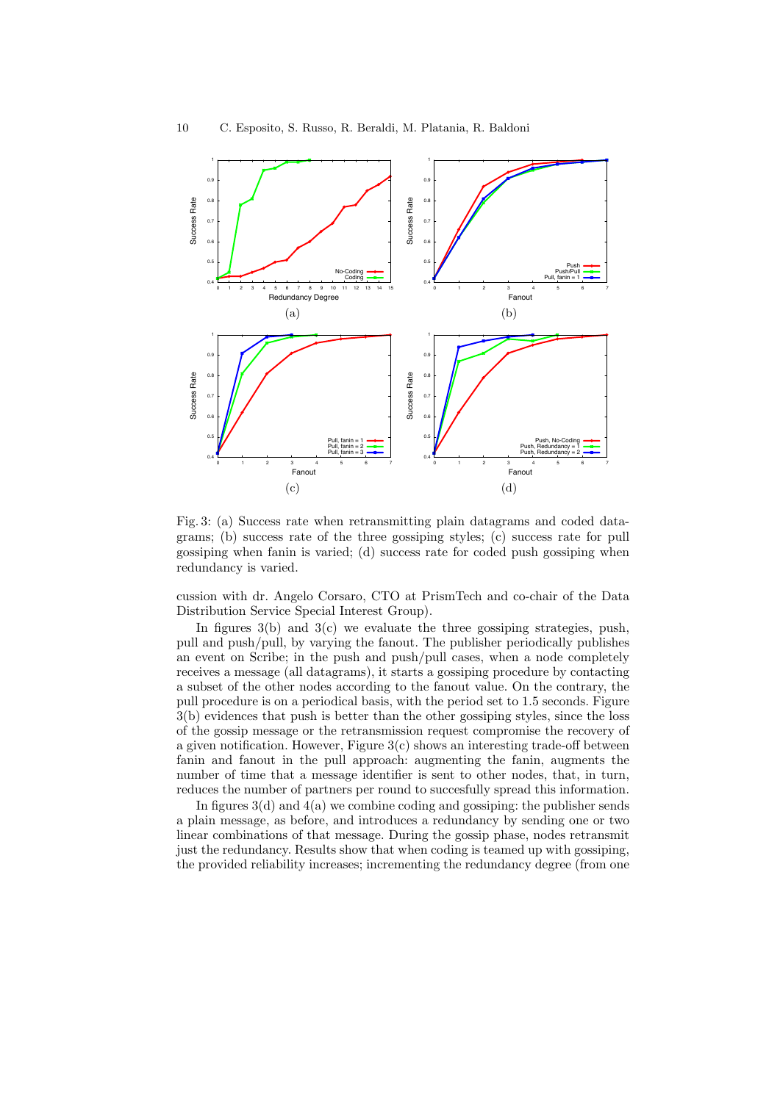

Fig. 3: (a) Success rate when retransmitting plain datagrams and coded datagrams; (b) success rate of the three gossiping styles; (c) success rate for pull gossiping when fanin is varied; (d) success rate for coded push gossiping when redundancy is varied.

cussion with dr. Angelo Corsaro, CTO at PrismTech and co-chair of the Data Distribution Service Special Interest Group).

In figures  $3(b)$  and  $3(c)$  we evaluate the three gossiping strategies, push, pull and push/pull, by varying the fanout. The publisher periodically publishes an event on Scribe; in the push and push/pull cases, when a node completely receives a message (all datagrams), it starts a gossiping procedure by contacting a subset of the other nodes according to the fanout value. On the contrary, the pull procedure is on a periodical basis, with the period set to 1.5 seconds. Figure 3(b) evidences that push is better than the other gossiping styles, since the loss of the gossip message or the retransmission request compromise the recovery of a given notification. However, Figure  $3(c)$  shows an interesting trade-off between fanin and fanout in the pull approach: augmenting the fanin, augments the number of time that a message identifier is sent to other nodes, that, in turn, reduces the number of partners per round to succesfully spread this information.

In figures  $3(d)$  and  $4(a)$  we combine coding and gossiping: the publisher sends a plain message, as before, and introduces a redundancy by sending one or two linear combinations of that message. During the gossip phase, nodes retransmit just the redundancy. Results show that when coding is teamed up with gossiping, the provided reliability increases; incrementing the redundancy degree (from one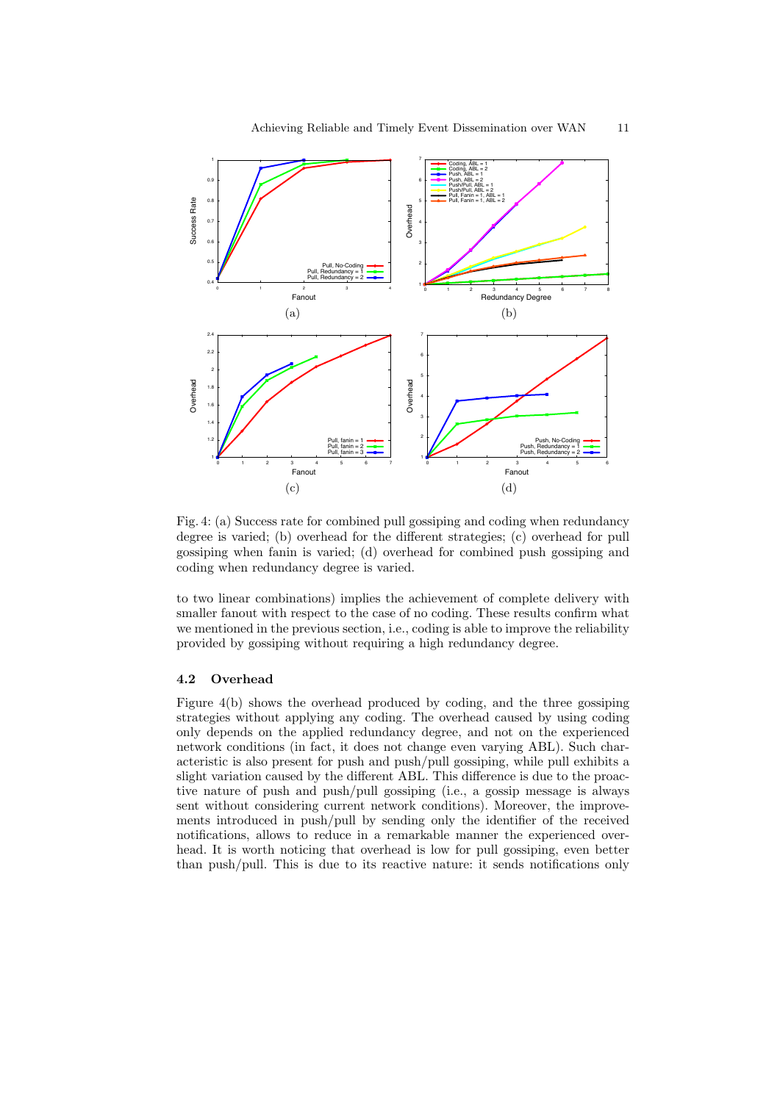

Fig. 4: (a) Success rate for combined pull gossiping and coding when redundancy degree is varied; (b) overhead for the different strategies; (c) overhead for pull gossiping when fanin is varied; (d) overhead for combined push gossiping and coding when redundancy degree is varied.

to two linear combinations) implies the achievement of complete delivery with smaller fanout with respect to the case of no coding. These results confirm what we mentioned in the previous section, i.e., coding is able to improve the reliability provided by gossiping without requiring a high redundancy degree.

## 4.2 Overhead

Figure 4(b) shows the overhead produced by coding, and the three gossiping strategies without applying any coding. The overhead caused by using coding only depends on the applied redundancy degree, and not on the experienced network conditions (in fact, it does not change even varying ABL). Such characteristic is also present for push and push/pull gossiping, while pull exhibits a slight variation caused by the different ABL. This difference is due to the proactive nature of push and push/pull gossiping (i.e., a gossip message is always sent without considering current network conditions). Moreover, the improvements introduced in push/pull by sending only the identifier of the received notifications, allows to reduce in a remarkable manner the experienced overhead. It is worth noticing that overhead is low for pull gossiping, even better than push/pull. This is due to its reactive nature: it sends notifications only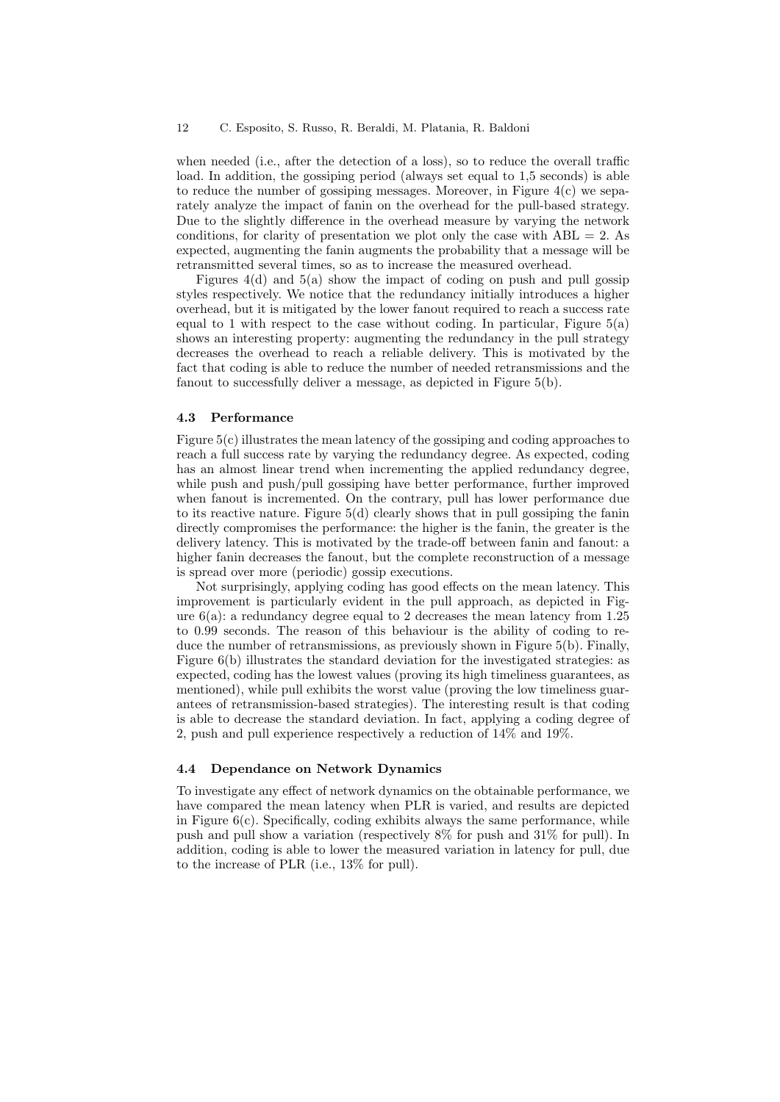when needed (i.e., after the detection of a loss), so to reduce the overall traffic load. In addition, the gossiping period (always set equal to 1,5 seconds) is able to reduce the number of gossiping messages. Moreover, in Figure  $4(c)$  we separately analyze the impact of fanin on the overhead for the pull-based strategy. Due to the slightly difference in the overhead measure by varying the network conditions, for clarity of presentation we plot only the case with  $ABL = 2$ . As expected, augmenting the fanin augments the probability that a message will be retransmitted several times, so as to increase the measured overhead.

Figures 4(d) and 5(a) show the impact of coding on push and pull gossip styles respectively. We notice that the redundancy initially introduces a higher overhead, but it is mitigated by the lower fanout required to reach a success rate equal to 1 with respect to the case without coding. In particular, Figure  $5(a)$ shows an interesting property: augmenting the redundancy in the pull strategy decreases the overhead to reach a reliable delivery. This is motivated by the fact that coding is able to reduce the number of needed retransmissions and the fanout to successfully deliver a message, as depicted in Figure 5(b).

#### 4.3 Performance

Figure 5(c) illustrates the mean latency of the gossiping and coding approaches to reach a full success rate by varying the redundancy degree. As expected, coding has an almost linear trend when incrementing the applied redundancy degree. while push and push/pull gossiping have better performance, further improved when fanout is incremented. On the contrary, pull has lower performance due to its reactive nature. Figure 5(d) clearly shows that in pull gossiping the fanin directly compromises the performance: the higher is the fanin, the greater is the delivery latency. This is motivated by the trade-off between fanin and fanout: a higher fanin decreases the fanout, but the complete reconstruction of a message is spread over more (periodic) gossip executions.

Not surprisingly, applying coding has good effects on the mean latency. This improvement is particularly evident in the pull approach, as depicted in Figure 6(a): a redundancy degree equal to 2 decreases the mean latency from 1.25 to 0.99 seconds. The reason of this behaviour is the ability of coding to reduce the number of retransmissions, as previously shown in Figure 5(b). Finally, Figure 6(b) illustrates the standard deviation for the investigated strategies: as expected, coding has the lowest values (proving its high timeliness guarantees, as mentioned), while pull exhibits the worst value (proving the low timeliness guarantees of retransmission-based strategies). The interesting result is that coding is able to decrease the standard deviation. In fact, applying a coding degree of 2, push and pull experience respectively a reduction of 14% and 19%.

### 4.4 Dependance on Network Dynamics

To investigate any effect of network dynamics on the obtainable performance, we have compared the mean latency when PLR is varied, and results are depicted in Figure  $6(c)$ . Specifically, coding exhibits always the same performance, while push and pull show a variation (respectively 8% for push and 31% for pull). In addition, coding is able to lower the measured variation in latency for pull, due to the increase of PLR (i.e., 13% for pull).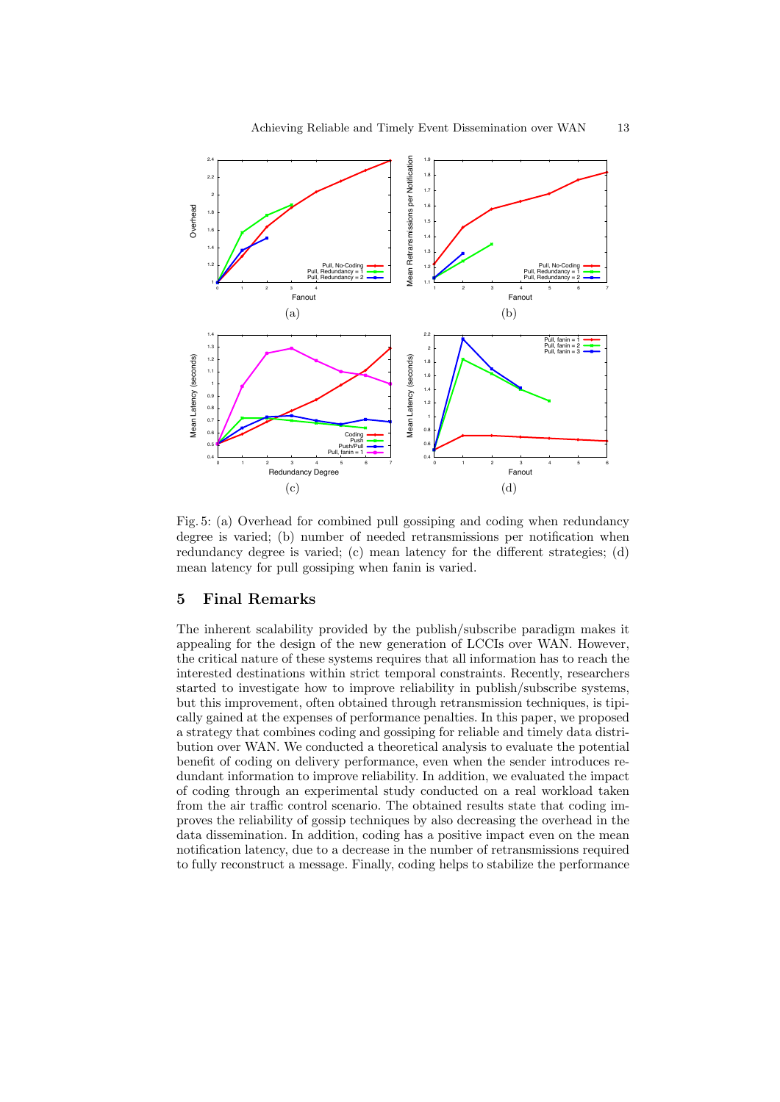

Fig. 5: (a) Overhead for combined pull gossiping and coding when redundancy degree is varied; (b) number of needed retransmissions per notification when redundancy degree is varied; (c) mean latency for the different strategies; (d) mean latency for pull gossiping when fanin is varied.

# 5 Final Remarks

The inherent scalability provided by the publish/subscribe paradigm makes it appealing for the design of the new generation of LCCIs over WAN. However, the critical nature of these systems requires that all information has to reach the interested destinations within strict temporal constraints. Recently, researchers started to investigate how to improve reliability in publish/subscribe systems, but this improvement, often obtained through retransmission techniques, is tipically gained at the expenses of performance penalties. In this paper, we proposed a strategy that combines coding and gossiping for reliable and timely data distribution over WAN. We conducted a theoretical analysis to evaluate the potential benefit of coding on delivery performance, even when the sender introduces redundant information to improve reliability. In addition, we evaluated the impact of coding through an experimental study conducted on a real workload taken from the air traffic control scenario. The obtained results state that coding improves the reliability of gossip techniques by also decreasing the overhead in the data dissemination. In addition, coding has a positive impact even on the mean notification latency, due to a decrease in the number of retransmissions required to fully reconstruct a message. Finally, coding helps to stabilize the performance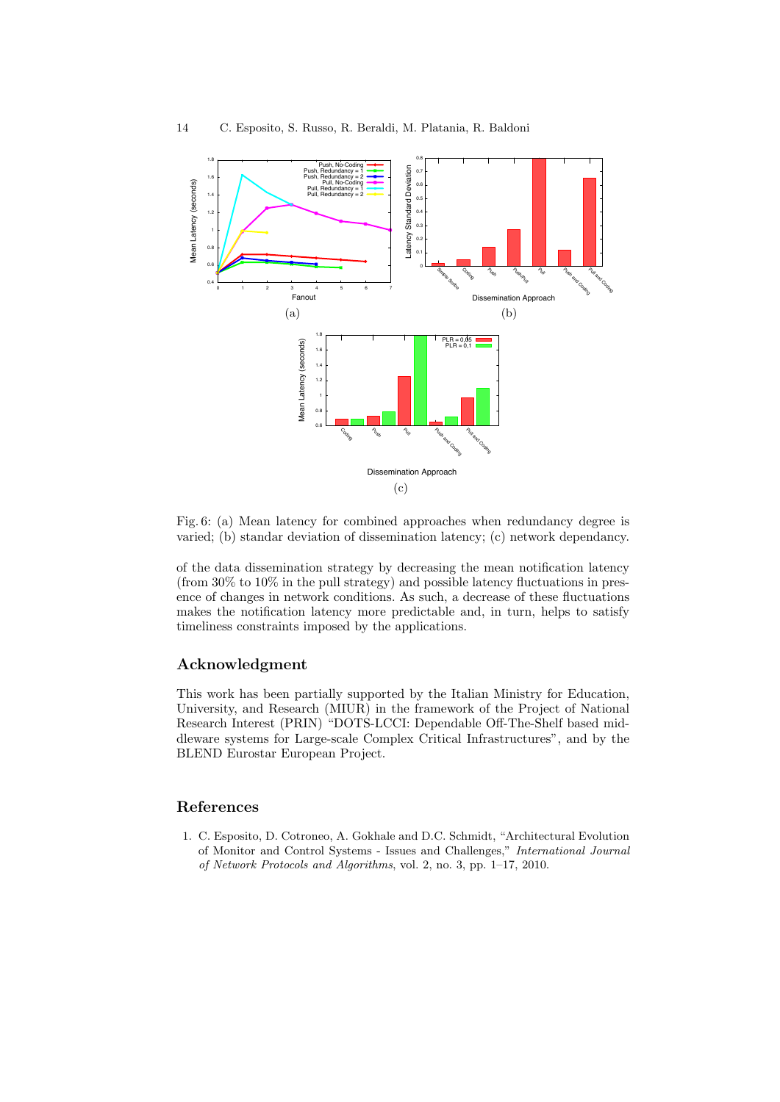

Fig. 6: (a) Mean latency for combined approaches when redundancy degree is varied; (b) standar deviation of dissemination latency; (c) network dependancy.

of the data dissemination strategy by decreasing the mean notification latency (from 30% to 10% in the pull strategy) and possible latency fluctuations in presence of changes in network conditions. As such, a decrease of these fluctuations makes the notification latency more predictable and, in turn, helps to satisfy timeliness constraints imposed by the applications.

# Acknowledgment

This work has been partially supported by the Italian Ministry for Education, University, and Research (MIUR) in the framework of the Project of National Research Interest (PRIN) "DOTS-LCCI: Dependable Off-The-Shelf based middleware systems for Large-scale Complex Critical Infrastructures", and by the BLEND Eurostar European Project.

# References

1. C. Esposito, D. Cotroneo, A. Gokhale and D.C. Schmidt, "Architectural Evolution of Monitor and Control Systems - Issues and Challenges," International Journal of Network Protocols and Algorithms, vol. 2, no. 3, pp. 1–17, 2010.